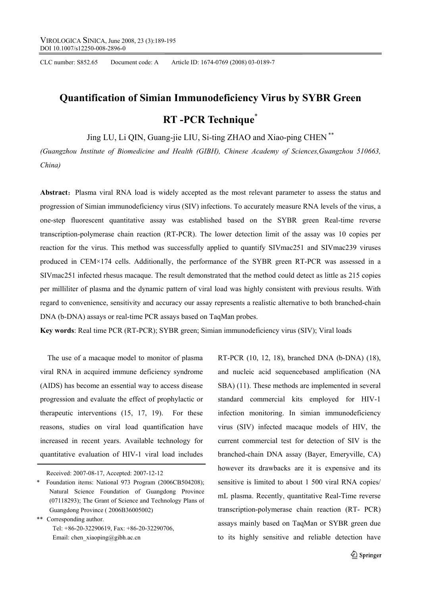CLC number: S852.65 Document code: A Article ID: 1674-0769 (2008) 03-0189-7

# **Quantification of Simian Immunodeficiency Virus by SYBR Green RT -PCR Technique**\*

Jing LU, Li QIN, Guang-jie LIU, Si-ting ZHAO and Xiao-ping CHEN \*\*

*(Guangzhou Institute of Biomedicine and Health (GIBH), Chinese Academy of Sciences,Guangzhou 510663, China)* 

Abstract: Plasma viral RNA load is widely accepted as the most relevant parameter to assess the status and progression of Simian immunodeficiency virus (SIV) infections. To accurately measure RNA levels of the virus, a one-step fluorescent quantitative assay was established based on the SYBR green Real-time reverse transcription-polymerase chain reaction (RT-PCR). The lower detection limit of the assay was 10 copies per reaction for the virus. This method was successfully applied to quantify SIVmac251 and SIVmac239 viruses produced in CEM×174 cells. Additionally, the performance of the SYBR green RT-PCR was assessed in a SIVmac251 infected rhesus macaque. The result demonstrated that the method could detect as little as 215 copies per milliliter of plasma and the dynamic pattern of viral load was highly consistent with previous results. With regard to convenience, sensitivity and accuracy our assay represents a realistic alternative to both branched-chain DNA (b-DNA) assays or real-time PCR assays based on TaqMan probes.

**Key words**: Real time PCR (RT-PCR); SYBR green; Simian immunodeficiency virus (SIV); Viral loads

The use of a macaque model to monitor of plasma viral RNA in acquired immune deficiency syndrome (AIDS) has become an essential way to access disease progression and evaluate the effect of prophylactic or therapeutic interventions (15, 17, 19). For these reasons, studies on viral load quantification have increased in recent years. Available technology for quantitative evaluation of HIV-1 viral load includes

Received: 2007-08-17, Accepted: 2007-12-12

\*\* Corresponding author. Tel: +86-20-32290619, Fax: +86-20-32290706, Email: chen\_xiaoping@gibh.ac.cn

RT-PCR (10, 12, 18), branched DNA (b-DNA) (18), and nucleic acid sequencebased amplification (NA SBA) (11). These methods are implemented in several standard commercial kits employed for HIV-1 infection monitoring. In simian immunodeficiency virus (SIV) infected macaque models of HIV, the current commercial test for detection of SIV is the branched-chain DNA assay (Bayer, Emeryville, CA) however its drawbacks are it is expensive and its sensitive is limited to about 1 500 viral RNA copies/ mL plasma. Recently, quantitative Real-Time reverse transcription-polymerase chain reaction (RT- PCR) assays mainly based on TaqMan or SYBR green due to its highly sensitive and reliable detection have

Foundation items: National 973 Program (2006CB504208); Natural Science Foundation of Guangdong Province (07118293); The Grant of Science and Technology Plans of Guangdong Province ( 2006B36005002)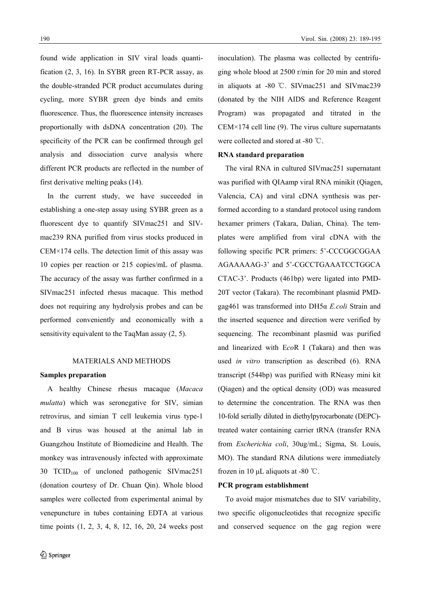found wide application in SIV viral loads quantification (2, 3, 16). In SYBR green RT-PCR assay, as the double-stranded PCR product accumulates during cycling, more SYBR green dye binds and emits fluorescence. Thus, the fluorescence intensity increases proportionally with dsDNA concentration (20). The specificity of the PCR can be confirmed through gel analysis and dissociation curve analysis where different PCR products are reflected in the number of first derivative melting peaks (14).

In the current study, we have succeeded in establishing a one-step assay using SYBR green as a fluorescent dye to quantify SIVmac251 and SIVmac239 RNA purified from virus stocks produced in CEM×174 cells. The detection limit of this assay was 10 copies per reaction or 215 copies/mL of plasma. The accuracy of the assay was further confirmed in a SIVmac251 infected rhesus macaque. This method does not requiring any hydrolysis probes and can be performed conveniently and economically with a sensitivity equivalent to the TaqMan assay (2, 5).

# MATERIALS AND METHODS

# **Samples preparation**

A healthy Chinese rhesus macaque (*Macaca mulatta*) which was seronegative for SIV, simian retrovirus, and simian T cell leukemia virus type-1 and B virus was housed at the animal lab in Guangzhou Institute of Biomedicine and Health. The monkey was intravenously infected with approximate 30 TCID100 of uncloned pathogenic SIVmac251 (donation courtesy of Dr. Chuan Qin). Whole blood samples were collected from experimental animal by venepuncture in tubes containing EDTA at various time points (1, 2, 3, 4, 8, 12, 16, 20, 24 weeks post inoculation). The plasma was collected by centrifuging whole blood at 2500 r/min for 20 min and stored in aliquots at -80 ℃. SIVmac251 and SIVmac239 (donated by the NIH AIDS and Reference Reagent Program) was propagated and titrated in the  $CEM \times 174$  cell line (9). The virus culture supernatants were collected and stored at -80 ℃.

#### **RNA standard preparation**

The viral RNA in cultured SIVmac251 supernatant was purified with QIAamp viral RNA minikit (Qiagen, Valencia, CA) and viral cDNA synthesis was performed according to a standard protocol using random hexamer primers (Takara, Dalian, China). The templates were amplified from viral cDNA with the following specific PCR primers: 5'-CCCGGCGGAA AGAAAAAG-3' and 5'-CGCCTGAAATCCTGGCA CTAC-3'. Products (461bp) were ligated into PMD-20T vector (Takara). The recombinant plasmid PMDgag461 was transformed into DH5α *E.coli* Strain and the inserted sequence and direction were verified by sequencing. The recombinant plasmid was purified and linearized with E*co*R I (Takara) and then was used *in vitro* transcription as described (6). RNA transcript (544bp) was purified with RNeasy mini kit (Qiagen) and the optical density (OD) was measured to determine the concentration. The RNA was then 10-fold serially diluted in diethylpyrocarbonate (DEPC) treated water containing carrier tRNA (transfer RNA from *Escherichia coli*, 30ug/mL; Sigma, St. Louis, MO). The standard RNA dilutions were immediately frozen in 10  $\mu$ L aliquots at -80 °C.

#### **PCR program establishment**

To avoid major mismatches due to SIV variability, two specific oligonucleotides that recognize specific and conserved sequence on the gag region were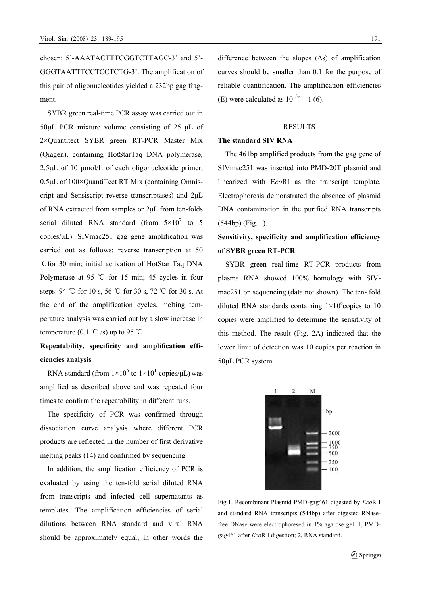chosen: 5'-AAATACTTTCGGTCTTAGC-3' and 5'- GGGTAATTTCCTCCTCTG-3'. The amplification of this pair of oligonucleotides yielded a 232bp gag fragment.

SYBR green real-time PCR assay was carried out in 50μL PCR mixture volume consisting of 25 μL of 2×Quantitect SYBR green RT-PCR Master Mix (Qiagen), containing HotStarTaq DNA polymerase, 2.5μL of 10 μmol/L of each oligonucleotide primer, 0.5μL of 100×QuantiTect RT Mix (containing Omniscript and Sensiscript reverse transcriptases) and 2μL of RNA extracted from samples or 2μL from ten-folds serial diluted RNA standard (from  $5 \times 10^7$  to 5 copies/μL). SIVmac251 gag gene amplification was carried out as follows: reverse transcription at 50 ℃for 30 min; initial activation of HotStar Taq DNA Polymerase at 95 ℃ for 15 min; 45 cycles in four steps: 94 ℃ for 10 s, 56 ℃ for 30 s, 72 ℃ for 30 s. At the end of the amplification cycles, melting temperature analysis was carried out by a slow increase in temperature (0.1  $\degree$ C /s) up to 95  $\degree$ C.

# **Repeatability, specificity and amplification efficiencies analysis**

RNA standard (from  $1 \times 10^6$  to  $1 \times 10^1$  copies/ $\mu$ L) was amplified as described above and was repeated four times to confirm the repeatability in different runs.

The specificity of PCR was confirmed through dissociation curve analysis where different PCR products are reflected in the number of first derivative melting peaks (14) and confirmed by sequencing.

In addition, the amplification efficiency of PCR is evaluated by using the ten-fold serial diluted RNA from transcripts and infected cell supernatants as templates. The amplification efficiencies of serial dilutions between RNA standard and viral RNA should be approximately equal; in other words the difference between the slopes  $( \Delta s )$  of amplification curves should be smaller than 0.1 for the purpose of reliable quantification. The amplification efficiencies (E) were calculated as  $10^{1/s} - 1$  (6).

# RESULTS

# **The standard SIV RNA**

The 461bp amplified products from the gag gene of SIVmac251 was inserted into PMD-20T plasmid and linearized with E*co*RI as the transcript template. Electrophoresis demonstrated the absence of plasmid DNA contamination in the purified RNA transcripts (544bp) (Fig. 1).

# **Sensitivity, specificity and amplification efficiency of SYBR green RT-PCR**

SYBR green real-time RT-PCR products from plasma RNA showed 100% homology with SIVmac251 on sequencing (data not shown). The ten- fold diluted RNA standards containing  $1 \times 10^8$  copies to 10 copies were amplified to determine the sensitivity of this method. The result (Fig. 2A) indicated that the lower limit of detection was 10 copies per reaction in 50μL PCR system.



Fig.1. Recombinant Plasmid PMD-gag461 digested by *Eco*R Ι and standard RNA transcripts (544bp) after digested RNasefree DNase were electrophoresed in 1% agarose gel. 1, PMDgag461 after *Eco*R Ι digestion; 2, RNA standard.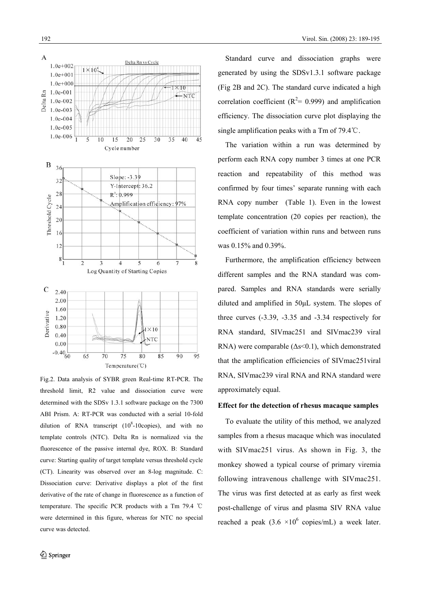

Fig.2. Data analysis of SYBR green Real-time RT-PCR. The threshold limit, R2 value and dissociation curve were determined with the SDSv 1.3.1 software package on the 7300 ABI Prism. A: RT-PCR was conducted with a serial 10-fold dilution of RNA transcript  $(10^8 - 10$ copies), and with no template controls (NTC). Delta Rn is normalized via the fluorescence of the passive internal dye, ROX. B: Standard curve: Starting quality of target template versus threshold cycle (CT). Linearity was observed over an 8-log magnitude. C: Dissociation curve: Derivative displays a plot of the first derivative of the rate of change in fluorescence as a function of temperature. The specific PCR products with a Tm 79.4 ℃ were determined in this figure, whereas for NTC no special curve was detected.

Standard curve and dissociation graphs were generated by using the SDSv1.3.1 software package (Fig 2B and 2C). The standard curve indicated a high correlation coefficient ( $R^2$ = 0.999) and amplification efficiency. The dissociation curve plot displaying the single amplification peaks with a Tm of 79.4℃.

The variation within a run was determined by perform each RNA copy number 3 times at one PCR reaction and repeatability of this method was confirmed by four times' separate running with each RNA copy number (Table 1). Even in the lowest template concentration (20 copies per reaction), the coefficient of variation within runs and between runs was 0.15% and 0.39%.

Furthermore, the amplification efficiency between different samples and the RNA standard was compared. Samples and RNA standards were serially diluted and amplified in 50μL system. The slopes of three curves (-3.39, -3.35 and -3.34 respectively for RNA standard, SIVmac251 and SIVmac239 viral RNA) were comparable  $(\Delta s \le 0.1)$ , which demonstrated that the amplification efficiencies of SIVmac251viral RNA, SIVmac239 viral RNA and RNA standard were approximately equal.

# **Effect for the detection of rhesus macaque samples**

To evaluate the utility of this method, we analyzed samples from a rhesus macaque which was inoculated with SIVmac251 virus. As shown in Fig. 3, the monkey showed a typical course of primary viremia following intravenous challenge with SIVmac251. The virus was first detected at as early as first week post-challenge of virus and plasma SIV RNA value reached a peak  $(3.6 \times 10^6 \text{ copies/mL})$  a week later.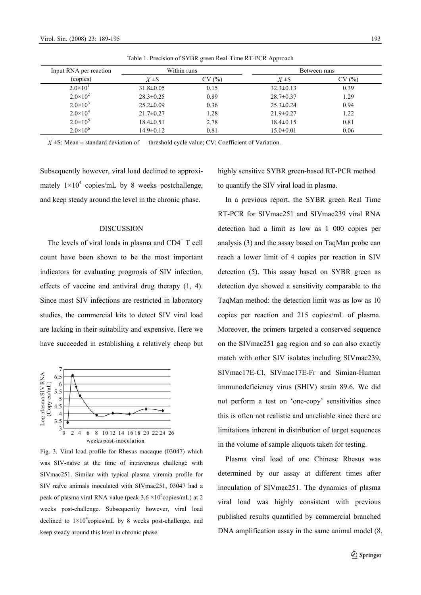$2.0\times10^{4}$ 

 $2.0\times10^{5}$ 

 $2.0\times10^{6}$ 

| Table 1. Precision of SYBR green Real-Time RT-PCR Approach |                 |       |                 |        |
|------------------------------------------------------------|-----------------|-------|-----------------|--------|
| Input RNA per reaction                                     | Within runs     |       | Between runs    |        |
| (copies)                                                   | $X \pm S$       | CV(%) | $X \pm S$       | CV (%) |
| $2.0 \times 10^{1}$                                        | $31.8 \pm 0.05$ | 0.15  | $32.3 \pm 0.13$ | 0.39   |
| $2.0 \times 10^2$                                          | $28.3 \pm 0.25$ | 0.89  | $28.7 \pm 0.37$ | 1.29   |
| $2.0 \times 10^3$                                          | $25.2 \pm 0.09$ | 0.36  | $25.3 \pm 0.24$ | 0.94   |

21.7±0.27 1.28 21.9±0.27 1.22

18.4±0.51 2.78 18.4±0.15 0.81

 $14.9\pm0.12$   $0.81$   $15.0\pm0.01$   $0.06$ 

Table 1. Precision of SYBR green Real-Time RT-PCR Approach

 $\overline{X}$  ±S: Mean ± standard deviation of threshold cycle value; CV: Coefficient of Variation.

Subsequently however, viral load declined to approximately  $1 \times 10^4$  copies/mL by 8 weeks postchallenge, and keep steady around the level in the chronic phase.

# DISCUSSION

The levels of viral loads in plasma and  $CD4<sup>+</sup>$  T cell count have been shown to be the most important indicators for evaluating prognosis of SIV infection, effects of vaccine and antiviral drug therapy (1, 4). Since most SIV infections are restricted in laboratory studies, the commercial kits to detect SIV viral load are lacking in their suitability and expensive. Here we have succeeded in establishing a relatively cheap but



Fig. 3. Viral load profile for Rhesus macaque (03047) which was SIV-naïve at the time of intravenous challenge with SIVmac251. Similar with typical plasma viremia profile for SIV naïve animals inoculated with SIVmac251, 03047 had a peak of plasma viral RNA value (peak  $3.6 \times 10^6$ copies/mL) at 2 weeks post-challenge. Subsequently however, viral load declined to  $1\times10^4$ copies/mL by 8 weeks post-challenge, and keep steady around this level in chronic phase.

highly sensitive SYBR green-based RT-PCR method to quantify the SIV viral load in plasma.

In a previous report, the SYBR green Real Time RT-PCR for SIVmac251 and SIVmac239 viral RNA detection had a limit as low as 1 000 copies per analysis (3) and the assay based on TaqMan probe can reach a lower limit of 4 copies per reaction in SIV detection (5). This assay based on SYBR green as detection dye showed a sensitivity comparable to the TaqMan method: the detection limit was as low as 10 copies per reaction and 215 copies/mL of plasma. Moreover, the primers targeted a conserved sequence on the SIVmac251 gag region and so can also exactly match with other SIV isolates including SIVmac239, SIVmac17E-Cl, SIVmac17E-Fr and Simian-Human immunodeficiency virus (SHIV) strain 89.6. We did not perform a test on 'one-copy' sensitivities since this is often not realistic and unreliable since there are limitations inherent in distribution of target sequences in the volume of sample aliquots taken for testing.

Plasma viral load of one Chinese Rhesus was determined by our assay at different times after inoculation of SIVmac251. The dynamics of plasma viral load was highly consistent with previous published results quantified by commercial branched DNA amplification assay in the same animal model (8,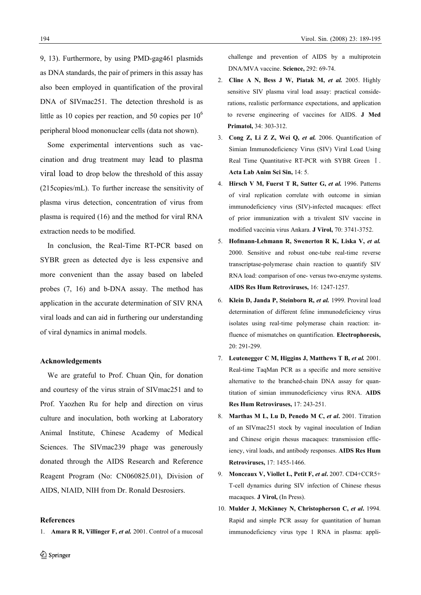9, 13). Furthermore, by using PMD-gag461 plasmids as DNA standards, the pair of primers in this assay has also been employed in quantification of the proviral DNA of SIVmac251. The detection threshold is as little as 10 copies per reaction, and 50 copies per  $10<sup>6</sup>$ peripheral blood mononuclear cells (data not shown).

Some experimental interventions such as vaccination and drug treatment may lead to plasma viral load to drop below the threshold of this assay (215copies/mL). To further increase the sensitivity of plasma virus detection, concentration of virus from plasma is required (16) and the method for viral RNA extraction needs to be modified.

In conclusion, the Real-Time RT-PCR based on SYBR green as detected dye is less expensive and more convenient than the assay based on labeled probes (7, 16) and b-DNA assay. The method has application in the accurate determination of SIV RNA viral loads and can aid in furthering our understanding of viral dynamics in animal models.

# **Acknowledgements**

We are grateful to Prof. Chuan Qin, for donation and courtesy of the virus strain of SIVmac251 and to Prof. Yaozhen Ru for help and direction on virus culture and inoculation, both working at Laboratory Animal Institute, Chinese Academy of Medical Sciences. The SIVmac239 phage was generously donated through the AIDS Research and Reference Reagent Program (No: CN060825.01), Division of AIDS, NIAID, NIH from Dr. Ronald Desrosiers.

#### **References**

1. **Amara R R, Villinger F,** *et al.* 2001. Control of a mucosal

 challenge and prevention of AIDS by a multiprotein DNA/MVA vaccine. **Science,** 292: 69-74.

- 2. **Cline A N, Bess J W, Piatak M,** *et al.* 2005. Highly sensitive SIV plasma viral load assay: practical considerations, realistic performance expectations, and application to reverse engineering of vaccines for AIDS. **J Med Primatol,** 34: 303-312.
- 3. **Cong Z, Li Z Z, Wei Q,** *et al.* 2006. Quantification of Simian Immunodeficiency Virus (SIV) Viral Load Using Real Time Quantitative RT-PCR with SYBR Green  $I$ . **Acta Lab Anim Sci Sin,** 14: 5.
- 4. **Hirsch V M, Fuerst T R, Sutter G, et al.** 1996. Patterns of viral replication correlate with outcome in simian immunodeficiency virus (SIV)-infected macaques: effect of prior immunization with a trivalent SIV vaccine in modified vaccinia virus Ankara. **J Virol,** 70: 3741-3752.
- 5. **Hofmann-Lehmann R, Swenerton R K, Liska V,** *et al.* 2000. Sensitive and robust one-tube real-time reverse transcriptase-polymerase chain reaction to quantify SIV RNA load: comparison of one- versus two-enzyme systems. **AIDS Res Hum Retroviruses,** 16: 1247-1257.
- 6. **Klein D, Janda P, Steinborn R,** *et al.* 1999. Proviral load determination of different feline immunodeficiency virus isolates using real-time polymerase chain reaction: influence of mismatches on quantification. **Electrophoresis,** 20: 291-299.
- 7. **Leutenegger C M, Higgins J, Matthews T B,** *et al.* 2001. Real-time TaqMan PCR as a specific and more sensitive alternative to the branched-chain DNA assay for quantitation of simian immunodeficiency virus RNA. **AIDS Res Hum Retroviruses,** 17: 243-251.
- 8. **Marthas M L, Lu D, Penedo M C,** *et al***.** 2001. Titration of an SIVmac251 stock by vaginal inoculation of Indian and Chinese origin rhesus macaques: transmission efficiency, viral loads, and antibody responses. **AIDS Res Hum Retroviruses,** 17: 1455-1466.
- 9. **Monceaux V, Viollet L, Petit F,** *et al***.** 2007. CD4+CCR5+ T-cell dynamics during SIV infection of Chinese rhesus macaques. **J Virol,** (In Press).
- 10. **Mulder J, McKinney N, Christopherson C,** *et al***.** 1994. Rapid and simple PCR assay for quantitation of human immunodeficiency virus type 1 RNA in plasma: appli-